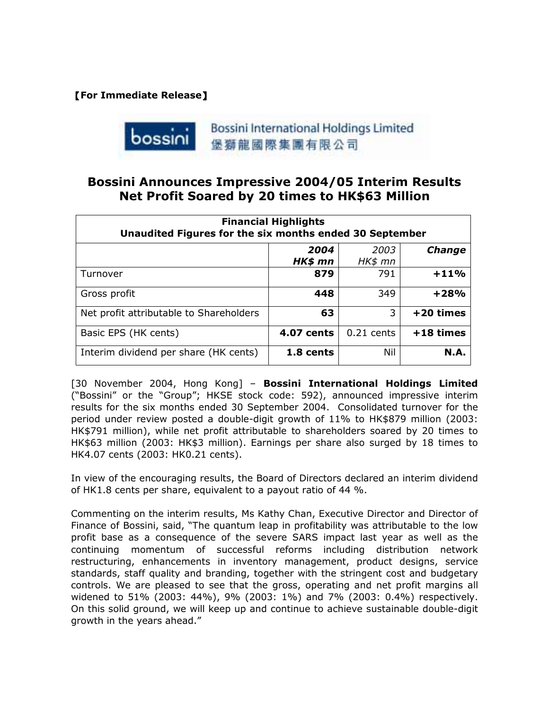【**For Immediate Release**】



## **Bossini Announces Impressive 2004/05 Interim Results Net Profit Soared by 20 times to HK\$63 Million**

| <b>Financial Highlights</b><br>Unaudited Figures for the six months ended 30 September |                   |              |               |
|----------------------------------------------------------------------------------------|-------------------|--------------|---------------|
|                                                                                        | 2004              | 2003         | <b>Change</b> |
|                                                                                        | HK\$ mn           | HK\$ mn      |               |
| Turnover                                                                               | 879               | 791          | $+11%$        |
| Gross profit                                                                           | 448               | 349          | $+28%$        |
| Net profit attributable to Shareholders                                                | 63                | 3            | $+20$ times   |
| Basic EPS (HK cents)                                                                   | <b>4.07 cents</b> | $0.21$ cents | $+18$ times   |
| Interim dividend per share (HK cents)                                                  | 1.8 cents         | Nil          | <b>N.A.</b>   |

[30 November 2004, Hong Kong] – **Bossini International Holdings Limited**  ("Bossini" or the "Group"; HKSE stock code: 592), announced impressive interim results for the six months ended 30 September 2004. Consolidated turnover for the period under review posted a double-digit growth of 11% to HK\$879 million (2003: HK\$791 million), while net profit attributable to shareholders soared by 20 times to HK\$63 million (2003: HK\$3 million). Earnings per share also surged by 18 times to HK4.07 cents (2003: HK0.21 cents).

In view of the encouraging results, the Board of Directors declared an interim dividend of HK1.8 cents per share, equivalent to a payout ratio of 44 %.

Commenting on the interim results, Ms Kathy Chan, Executive Director and Director of Finance of Bossini, said, "The quantum leap in profitability was attributable to the low profit base as a consequence of the severe SARS impact last year as well as the continuing momentum of successful reforms including distribution network restructuring, enhancements in inventory management, product designs, service standards, staff quality and branding, together with the stringent cost and budgetary controls. We are pleased to see that the gross, operating and net profit margins all widened to 51% (2003: 44%), 9% (2003: 1%) and 7% (2003: 0.4%) respectively. On this solid ground, we will keep up and continue to achieve sustainable double-digit growth in the years ahead."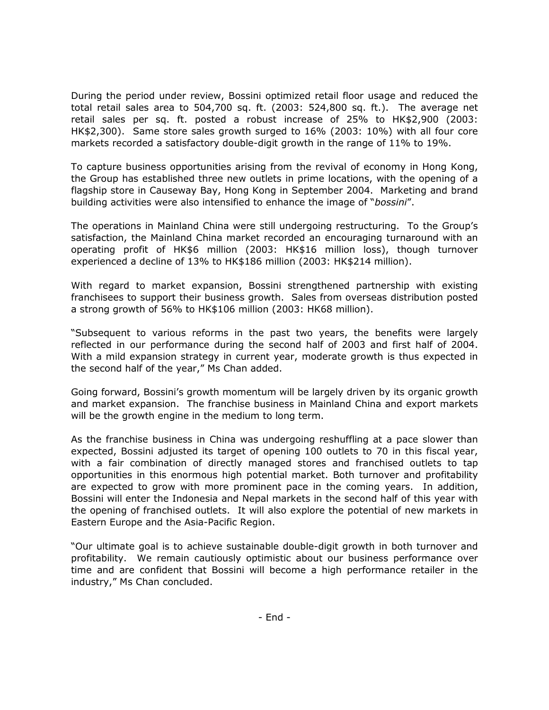During the period under review, Bossini optimized retail floor usage and reduced the total retail sales area to 504,700 sq. ft. (2003: 524,800 sq. ft.). The average net retail sales per sq. ft. posted a robust increase of 25% to HK\$2,900 (2003: HK\$2,300). Same store sales growth surged to 16% (2003: 10%) with all four core markets recorded a satisfactory double-digit growth in the range of 11% to 19%.

To capture business opportunities arising from the revival of economy in Hong Kong, the Group has established three new outlets in prime locations, with the opening of a flagship store in Causeway Bay, Hong Kong in September 2004. Marketing and brand building activities were also intensified to enhance the image of "*bossini*".

The operations in Mainland China were still undergoing restructuring. To the Group's satisfaction, the Mainland China market recorded an encouraging turnaround with an operating profit of HK\$6 million (2003: HK\$16 million loss), though turnover experienced a decline of 13% to HK\$186 million (2003: HK\$214 million).

With regard to market expansion, Bossini strengthened partnership with existing franchisees to support their business growth. Sales from overseas distribution posted a strong growth of 56% to HK\$106 million (2003: HK68 million).

"Subsequent to various reforms in the past two years, the benefits were largely reflected in our performance during the second half of 2003 and first half of 2004. With a mild expansion strategy in current year, moderate growth is thus expected in the second half of the year," Ms Chan added.

Going forward, Bossini's growth momentum will be largely driven by its organic growth and market expansion. The franchise business in Mainland China and export markets will be the growth engine in the medium to long term.

As the franchise business in China was undergoing reshuffling at a pace slower than expected, Bossini adjusted its target of opening 100 outlets to 70 in this fiscal year, with a fair combination of directly managed stores and franchised outlets to tap opportunities in this enormous high potential market. Both turnover and profitability are expected to grow with more prominent pace in the coming years. In addition, Bossini will enter the Indonesia and Nepal markets in the second half of this year with the opening of franchised outlets. It will also explore the potential of new markets in Eastern Europe and the Asia-Pacific Region.

"Our ultimate goal is to achieve sustainable double-digit growth in both turnover and profitability. We remain cautiously optimistic about our business performance over time and are confident that Bossini will become a high performance retailer in the industry," Ms Chan concluded.